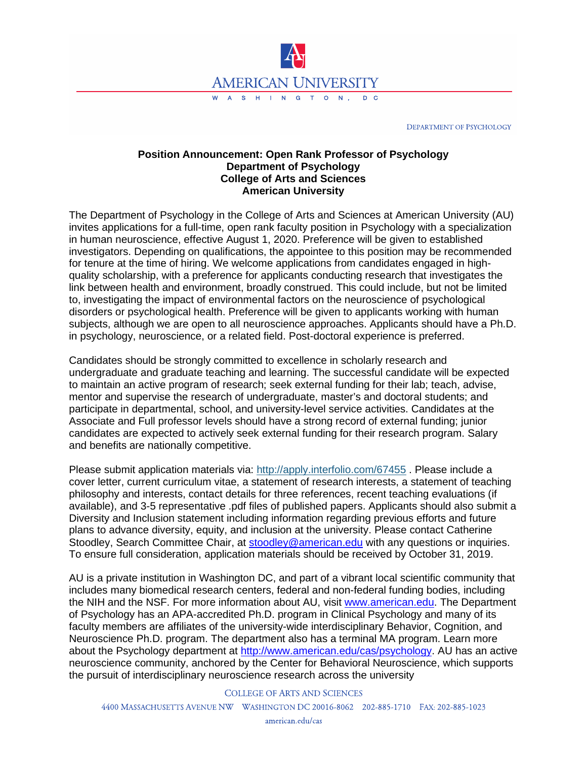

DEPARTMENT OF PSYCHOLOGY

## **Position Announcement: Open Rank Professor of Psychology Department of Psychology College of Arts and Sciences American University**

The Department of Psychology in the College of Arts and Sciences at American University (AU) invites applications for a full-time, open rank faculty position in Psychology with a specialization in human neuroscience, effective August 1, 2020. Preference will be given to established investigators. Depending on qualifications, the appointee to this position may be recommended for tenure at the time of hiring. We welcome applications from candidates engaged in highquality scholarship, with a preference for applicants conducting research that investigates the link between health and environment, broadly construed. This could include, but not be limited to, investigating the impact of environmental factors on the neuroscience of psychological disorders or psychological health. Preference will be given to applicants working with human subjects, although we are open to all neuroscience approaches. Applicants should have a Ph.D. in psychology, neuroscience, or a related field. Post-doctoral experience is preferred.

Candidates should be strongly committed to excellence in scholarly research and undergraduate and graduate teaching and learning. The successful candidate will be expected to maintain an active program of research; seek external funding for their lab; teach, advise, mentor and supervise the research of undergraduate, master's and doctoral students; and participate in departmental, school, and university-level service activities. Candidates at the Associate and Full professor levels should have a strong record of external funding; junior candidates are expected to actively seek external funding for their research program. Salary and benefits are nationally competitive.

Please submit application materials via: <http://apply.interfolio.com/67455> . Please include a cover letter, current curriculum vitae, a statement of research interests, a statement of teaching philosophy and interests, contact details for three references, recent teaching evaluations (if available), and 3-5 representative .pdf files of published papers. Applicants should also submit a Diversity and Inclusion statement including information regarding previous efforts and future plans to advance diversity, equity, and inclusion at the university. Please contact Catherine Stoodley, Search Committee Chair, at [stoodley@american.edu](mailto:stoodley@american.edu) with any questions or inquiries. To ensure full consideration, application materials should be received by October 31, 2019.

AU is a private institution in Washington DC, and part of a vibrant local scientific community that includes many biomedical research centers, federal and non-federal funding bodies, including the NIH and the NSF. For more information about AU, visit [www.american.edu.](http://www.american.edu/) The Department of Psychology has an APA-accredited Ph.D. program in Clinical Psychology and many of its faculty members are affiliates of the university-wide interdisciplinary Behavior, Cognition, and Neuroscience Ph.D. program. The department also has a terminal MA program. Learn more about the Psychology department at [http://www.american.edu/cas/psychology.](http://www.american.edu/cas/psychology) AU has an active neuroscience community, anchored by the Center for Behavioral Neuroscience, which supports the pursuit of interdisciplinary neuroscience research across the university

**COLLEGE OF ARTS AND SCIENCES** 

4400 MASSACHUSETTS AVENUE NW WASHINGTON DC 20016-8062 202-885-1710 FAX: 202-885-1023